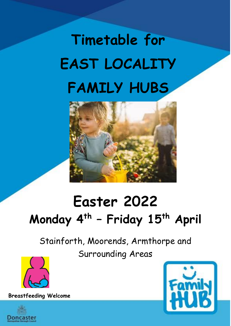## **Timetable for EAST LOCALITY FAMILY HUBS**



## **Easter 2022 Monday 4th – Friday 15th April**

Stainforth, Moorends, Armthorpe and Surrounding Areas



**Breastfeeding Welcome** 



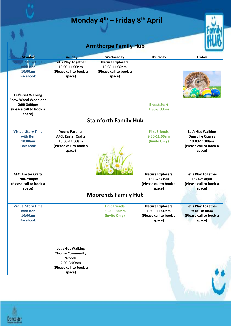|                                                                                         |                                                                                                          | <b>Armthorpe Family Hub</b>                                                  |                                                                              |                                                                                                   |
|-----------------------------------------------------------------------------------------|----------------------------------------------------------------------------------------------------------|------------------------------------------------------------------------------|------------------------------------------------------------------------------|---------------------------------------------------------------------------------------------------|
| <b>Monday</b>                                                                           | <b>Tuesday</b>                                                                                           | Wednesday                                                                    | Thursday                                                                     | Friday                                                                                            |
| al Story Time<br>with Ben<br>10:00am<br><b>Facebook</b>                                 | Let's Play Together<br>10:00-11:00am<br>(Please call to book a<br>space)                                 | <b>Nature Explorers</b><br>10:30-11:30am<br>(Please call to book a<br>space) |                                                                              |                                                                                                   |
| Let's Get Walking<br><b>Shaw Wood Woodland</b><br>2:00-3:00pm<br>(Please call to book a |                                                                                                          |                                                                              | <b>Breast Start</b><br>1:30-3:00pm                                           |                                                                                                   |
| space)                                                                                  |                                                                                                          | <b>Stainforth Family Hub</b>                                                 |                                                                              |                                                                                                   |
| <b>Virtual Story Time</b><br>with Ben<br>10:00am<br><b>Facebook</b>                     | <b>Young Parents</b><br><b>AFCL Easter Crafts</b><br>10:30-11:30am<br>(Please call to book a<br>space)   |                                                                              | <b>First Friends</b><br>9:30-11:00am<br>(Invite Only)                        | Let's Get Walking<br><b>Dunsville Quarry</b><br>10:00-11:00am<br>(Please call to book a<br>space) |
| <b>AFCL Easter Crafts</b><br>1:00-2:00pm<br>(Please call to book a<br>space)            |                                                                                                          |                                                                              | <b>Nature Explorers</b><br>1:30-2:30pm<br>(Please call to book a<br>space)   | Let's Play Together<br>1:30-2:30pm<br>(Please call to book a<br>space)                            |
|                                                                                         |                                                                                                          | <b>Moorends Family Hub</b>                                                   |                                                                              |                                                                                                   |
| <b>Virtual Story Time</b><br>with Ben<br>10:00am<br><b>Facebook</b>                     |                                                                                                          | <b>First Friends</b><br>9:30-11:00am<br>(Invite Only)                        | <b>Nature Explorers</b><br>10:00-11:00am<br>(Please call to book a<br>space) | Let's Play Together<br>9:30-10:30am<br>(Please call to book a<br>space)                           |
|                                                                                         | Let's Get Walking<br><b>Thorne Community</b><br>Woods<br>2:00-3:00pm<br>(Please call to book a<br>space) |                                                                              |                                                                              |                                                                                                   |

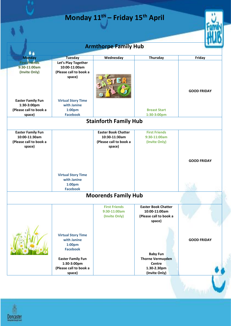